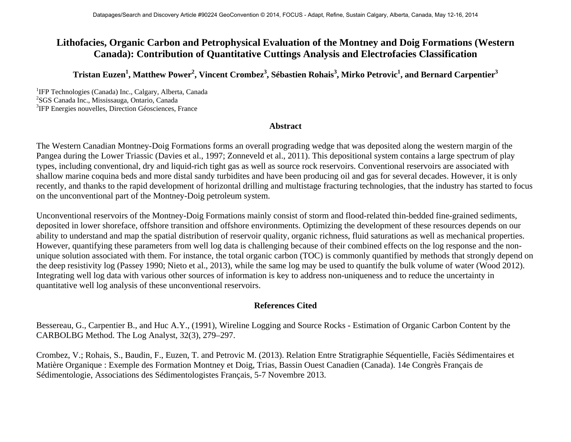## **Lithofacies, Organic Carbon and Petrophysical Evaluation of the Montney and Doig Formations (Western Canada): Contribution of Quantitative Cuttings Analysis and Electrofacies Classification**

## $\rm{Tristan\; Euzen}^1, \rm{Matthev\; Power}^2, \rm{Vincent\; Crombez}^3, \rm{S\'ebastien\; Rohais}^3, \rm{Mirko\; Petrovic}^1, \rm{and\; Bernard\; Carpentier}^3$

<sup>1</sup>IFP Technologies (Canada) Inc., Calgary, Alberta, Canada<sup>2</sup>SGS Canada Inc., Mississeure, Ontario, Canada <sup>2</sup>SGS Canada Inc., Mississauga, Ontario, Canada <sup>3</sup>IFP Energies nouvelles, Direction Géosciences, France

## **Abstract**

The Western Canadian Montney-Doig Formations forms an overall prograding wedge that was deposited along the western margin of the Pangea during the Lower Triassic (Davies et al., 1997; Zonneveld et al., 2011). This depositional system contains a large spectrum of play types, including conventional, dry and liquid-rich tight gas as well as source rock reservoirs. Conventional reservoirs are associated with shallow marine coquina beds and more distal sandy turbidites and have been producing oil and gas for several decades. However, it is only recently, and thanks to the rapid development of horizontal drilling and multistage fracturing technologies, that the industry has started to focus on the unconventional part of the Montney-Doig petroleum system.

Unconventional reservoirs of the Montney-Doig Formations mainly consist of storm and flood-related thin-bedded fine-grained sediments, deposited in lower shoreface, offshore transition and offshore environments. Optimizing the development of these resources depends on our ability to understand and map the spatial distribution of reservoir quality, organic richness, fluid saturations as well as mechanical properties. However, quantifying these parameters from well log data is challenging because of their combined effects on the log response and the nonunique solution associated with them. For instance, the total organic carbon (TOC) is commonly quantified by methods that strongly depend on the deep resistivity log (Passey 1990; Nieto et al., 2013), while the same log may be used to quantify the bulk volume of water (Wood 2012). Integrating well log data with various other sources of information is key to address non-uniqueness and to reduce the uncertainty in quantitative well log analysis of these unconventional reservoirs.

## **References Cited**

Bessereau, G., Carpentier B., and Huc A.Y., (1991), Wireline Logging and Source Rocks - Estimation of Organic Carbon Content by the CARBOLBG Method. The Log Analyst, 32(3), 279–297.

Crombez, V.; Rohais, S., Baudin, F., Euzen, T. and Petrovic M. (2013). Relation Entre Stratigraphie Séquentielle, Faciès Sédimentaires et Matière Organique : Exemple des Formation Montney et Doig, Trias, Bassin Ouest Canadien (Canada). 14e Congrès Français de Sédimentologie, Associations des Sédimentologistes Français, 5-7 Novembre 2013.